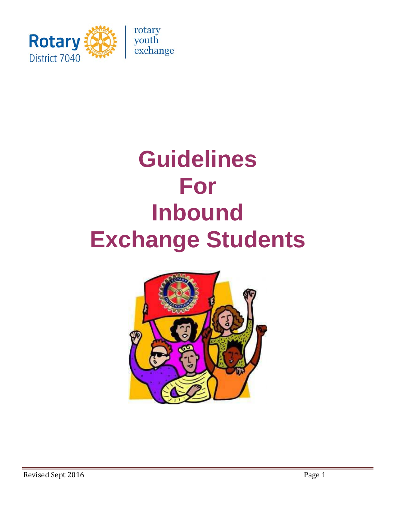

# **Guidelines For Inbound Exchange Students**

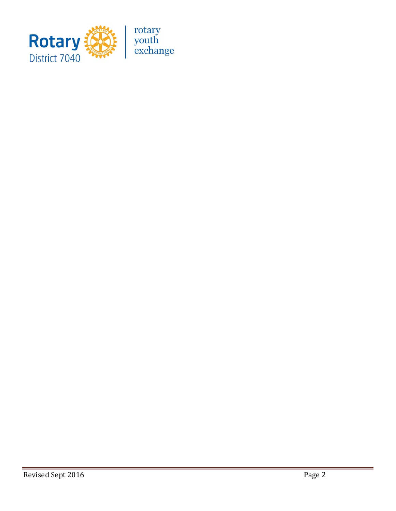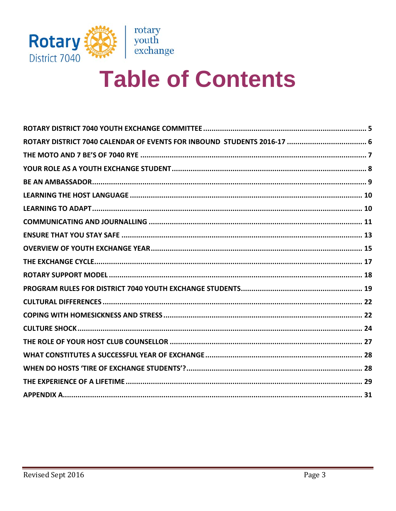

## **Table of Contents**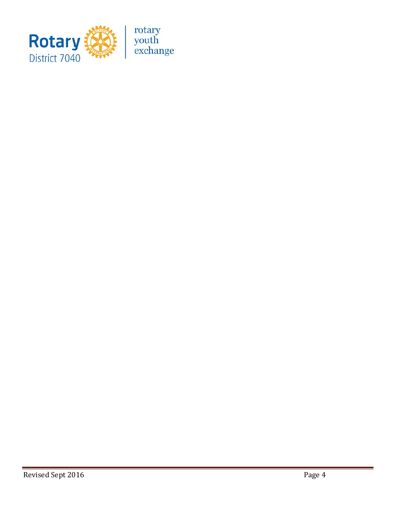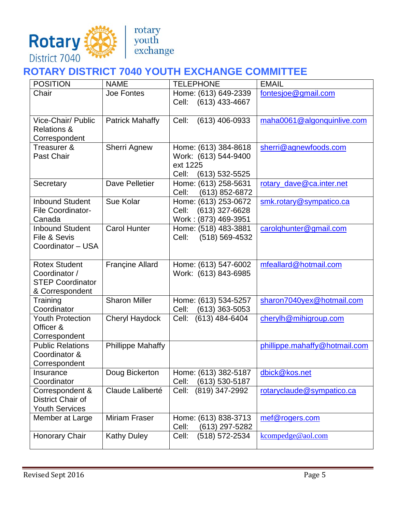

### **ROTARY DISTRICT 7040 YOUTH EXCHANGE COMMITTEE**

| <b>POSITION</b>                                                                     | <b>NAME</b>              | <b>TELEPHONE</b>                                                                        | <b>EMAIL</b>                    |
|-------------------------------------------------------------------------------------|--------------------------|-----------------------------------------------------------------------------------------|---------------------------------|
| Chair                                                                               | Joe Fontes               | Home: (613) 649-2339<br>Cell: (613) 433-4667                                            | fontesjoe@gmail.com             |
| Vice-Chair/ Public<br><b>Relations &amp;</b><br>Correspondent                       | Patrick Mahaffy          | Cell:<br>$(613)$ 406-0933                                                               | maha0061@algonquinlive.com      |
| Treasurer &<br>Past Chair                                                           | <b>Sherri Agnew</b>      | Home: (613) 384-8618<br>Work: (613) 544-9400<br>ext 1225<br>Cell:<br>$(613) 532 - 5525$ | sherri@agnewfoods.com           |
| Secretary                                                                           | Dave Pelletier           | Home: (613) 258-5631<br>Cell:<br>(613) 852-6872                                         | <u>rotary_dave@ca.inter.net</u> |
| <b>Inbound Student</b><br><b>File Coordinator-</b><br>Canada                        | Sue Kolar                | Home: (613) 253-0672<br>$(613)$ 327-6628<br>Cell:<br>Work: (873) 469-3951               | smk.rotary@sympatico.ca         |
| <b>Inbound Student</b><br>File & Sevis<br>Coordinator - USA                         | <b>Carol Hunter</b>      | Home: (518) 483-3881<br>(518) 569-4532<br>Cell:                                         | carolghunter@gmail.com          |
| <b>Rotex Student</b><br>Coordinator /<br><b>STEP Coordinator</b><br>& Correspondent | Françine Allard          | Home: (613) 547-6002<br>Work: (613) 843-6985                                            | mfeallard@hotmail.com           |
| Training<br>Coordinator                                                             | <b>Sharon Miller</b>     | Home: (613) 534-5257<br>$(613)$ 363-5053<br>Cell:                                       | sharon7040yex@hotmail.com       |
| <b>Youth Protection</b><br>Officer &<br>Correspondent                               | Cheryl Haydock           | $(613)$ 484-6404<br>Cell:                                                               | cherylh@mihigroup.com           |
| <b>Public Relations</b><br>Coordinator &<br>Correspondent                           | <b>Phillippe Mahaffy</b> |                                                                                         | phillippe.mahaffy@hotmail.com   |
| Insurance<br>Coordinator                                                            | Doug Bickerton           | Home: (613) 382-5187<br>Cell:<br>$(613) 530 - 5187$                                     | dbick@kos.net                   |
| Correspondent &<br>District Chair of<br><b>Youth Services</b>                       | Claude Laliberté         | Cell:<br>(819) 347-2992                                                                 | rotaryclaude@sympatico.ca       |
| Member at Large                                                                     | <b>Miriam Fraser</b>     | Home: (613) 838-3713<br>Cell:<br>(613) 297-5282                                         | mef@rogers.com                  |
| Honorary Chair                                                                      | <b>Kathy Duley</b>       | (518) 572-2534<br>Cell:                                                                 | kcompedge@aol.com               |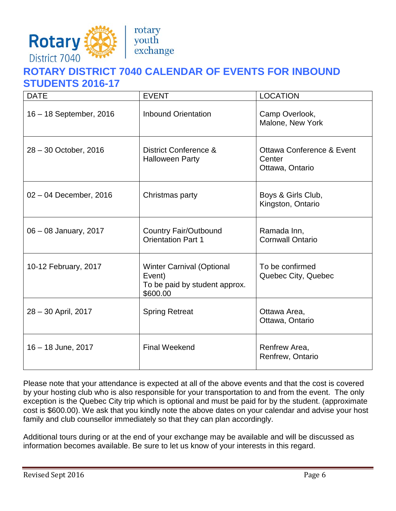

### **ROTARY DISTRICT 7040 CALENDAR OF EVENTS FOR INBOUND STUDENTS 2016-17**

| <b>DATE</b>              | <b>EVENT</b>                                                                            | <b>LOCATION</b>                                        |
|--------------------------|-----------------------------------------------------------------------------------------|--------------------------------------------------------|
| 16 - 18 September, 2016  | <b>Inbound Orientation</b>                                                              | Camp Overlook,<br>Malone, New York                     |
| 28 - 30 October, 2016    | District Conference &<br><b>Halloween Party</b>                                         | Ottawa Conference & Event<br>Center<br>Ottawa, Ontario |
| $02 - 04$ December, 2016 | Christmas party                                                                         | Boys & Girls Club,<br>Kingston, Ontario                |
| 06 - 08 January, 2017    | <b>Country Fair/Outbound</b><br><b>Orientation Part 1</b>                               | Ramada Inn,<br><b>Cornwall Ontario</b>                 |
| 10-12 February, 2017     | <b>Winter Carnival (Optional</b><br>Event)<br>To be paid by student approx.<br>\$600.00 | To be confirmed<br>Quebec City, Quebec                 |
| 28 - 30 April, 2017      | <b>Spring Retreat</b>                                                                   | Ottawa Area,<br>Ottawa, Ontario                        |
| 16 - 18 June, 2017       | <b>Final Weekend</b>                                                                    | Renfrew Area.<br>Renfrew, Ontario                      |

Please note that your attendance is expected at all of the above events and that the cost is covered by your hosting club who is also responsible for your transportation to and from the event. The only exception is the Quebec City trip which is optional and must be paid for by the student. (approximate cost is \$600.00). We ask that you kindly note the above dates on your calendar and advise your host family and club counsellor immediately so that they can plan accordingly.

Additional tours during or at the end of your exchange may be available and will be discussed as information becomes available. Be sure to let us know of your interests in this regard.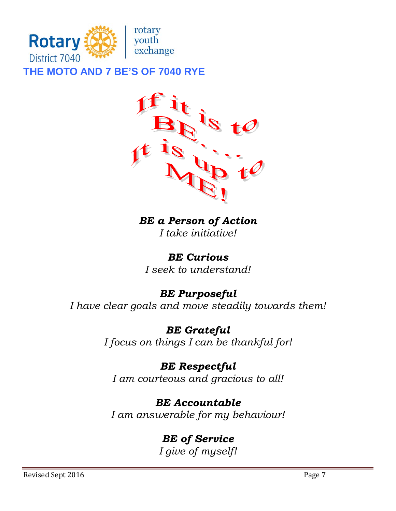



*BE a Person of Action I take initiative!*

## *BE Curious*

*I seek to understand!*

### *BE Purposeful I have clear goals and move steadily towards them!*

*BE Grateful I focus on things I can be thankful for!*

### *BE Respectful I am courteous and gracious to all!*

*BE Accountable I am answerable for my behaviour!*

### *BE of Service I give of myself!*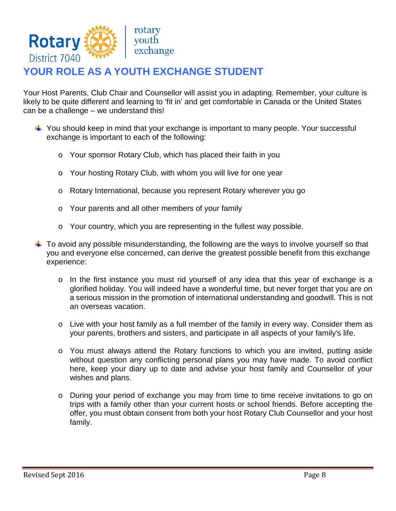

### **YOUR ROLE AS A YOUTH EXCHANGE STUDENT**

Your Host Parents, Club Chair and Counsellor will assist you in adapting. Remember, your culture is likely to be quite different and learning to 'fit in' and get comfortable in Canada or the United States can be a challenge – we understand this!

- $\ddot{\phantom{1}}$  You should keep in mind that your exchange is important to many people. Your successful exchange is important to each of the following:
	- o Your sponsor Rotary Club, which has placed their faith in you
	- o Your hosting Rotary Club, with whom you will live for one year
	- o Rotary International, because you represent Rotary wherever you go
	- o Your parents and all other members of your family
	- o Your country, which you are representing in the fullest way possible.
- $\ddot{\phantom{1}}$  To avoid any possible misunderstanding, the following are the ways to involve yourself so that you and everyone else concerned, can derive the greatest possible benefit from this exchange experience:
	- o In the first instance you must rid yourself of any idea that this year of exchange is a glorified holiday. You will indeed have a wonderful time, but never forget that you are on a serious mission in the promotion of international understanding and goodwill. This is not an overseas vacation.
	- o Live with your host family as a full member of the family in every way. Consider them as your parents, brothers and sisters, and participate in all aspects of your family's life.
	- o You must always attend the Rotary functions to which you are invited, putting aside without question any conflicting personal plans you may have made. To avoid conflict here, keep your diary up to date and advise your host family and Counsellor of your wishes and plans.
	- o During your period of exchange you may from time to time receive invitations to go on trips with a family other than your current hosts or school friends. Before accepting the offer, you must obtain consent from both your host Rotary Club Counsellor and your host family.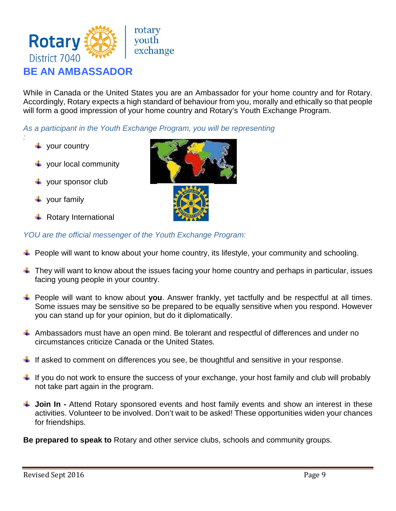

While in Canada or the United States you are an Ambassador for your home country and for Rotary. Accordingly, Rotary expects a high standard of behaviour from you, morally and ethically so that people will form a good impression of your home country and Rotary's Youth Exchange Program.

*As a participant in the Youth Exchange Program, you will be representing*

 $\overline{\phantom{a}}$  your country

*:*

- $\ddot{\bullet}$  your local community
- $\ddot{\bullet}$  your sponsor club
- $\ddot{\bullet}$  your family
- $\leftarrow$  Rotary International



#### *YOU are the official messenger of the Youth Exchange Program:*

- $\pm$  People will want to know about your home country, its lifestyle, your community and schooling.
- $\pm$  They will want to know about the issues facing your home country and perhaps in particular, issues facing young people in your country.
- People will want to know about **you**. Answer frankly, yet tactfully and be respectful at all times. Some issues may be sensitive so be prepared to be equally sensitive when you respond. However you can stand up for your opinion, but do it diplomatically.
- Ambassadors must have an open mind. Be tolerant and respectful of differences and under no circumstances criticize Canada or the United States.
- $\downarrow$  If asked to comment on differences you see, be thoughtful and sensitive in your response.
- $\downarrow$  If you do not work to ensure the success of your exchange, your host family and club will probably not take part again in the program.
- **Join In -** Attend Rotary sponsored events and host family events and show an interest in these activities. Volunteer to be involved. Don't wait to be asked! These opportunities widen your chances for friendships.

**Be prepared to speak to** Rotary and other service clubs, schools and community groups.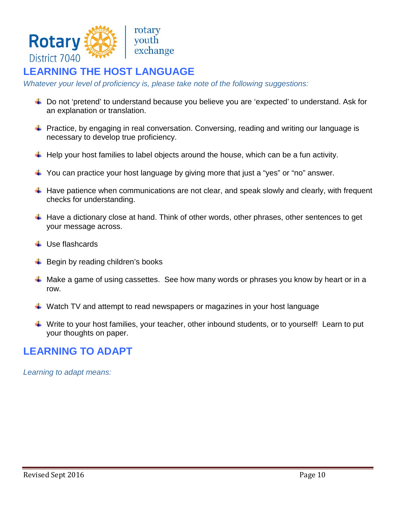

### **LEARNING THE HOST LANGUAGE**

*Whatever your level of proficiency is, please take note of the following suggestions:*

- Do not 'pretend' to understand because you believe you are 'expected' to understand. Ask for an explanation or translation.
- $\ddot{\phantom{1}}$  Practice, by engaging in real conversation. Conversing, reading and writing our language is necessary to develop true proficiency.
- $\ddot{+}$  Help your host families to label objects around the house, which can be a fun activity.
- $\blacktriangle$  You can practice your host language by giving more that just a "yes" or "no" answer.
- $\ddot{+}$  Have patience when communications are not clear, and speak slowly and clearly, with frequent checks for understanding.
- $\ddash$  Have a dictionary close at hand. Think of other words, other phrases, other sentences to get your message across.
- $\ddot{\phantom{1}}$  Use flashcards
- $\overline{\phantom{a}}$  Begin by reading children's books
- $\ddot{+}$  Make a game of using cassettes. See how many words or phrases you know by heart or in a row.
- $\ddot{\phantom{1}}$  Watch TV and attempt to read newspapers or magazines in your host language
- $\ddot{\phantom{1}}$  Write to your host families, your teacher, other inbound students, or to yourself! Learn to put your thoughts on paper.

### **LEARNING TO ADAPT**

*Learning to adapt means:*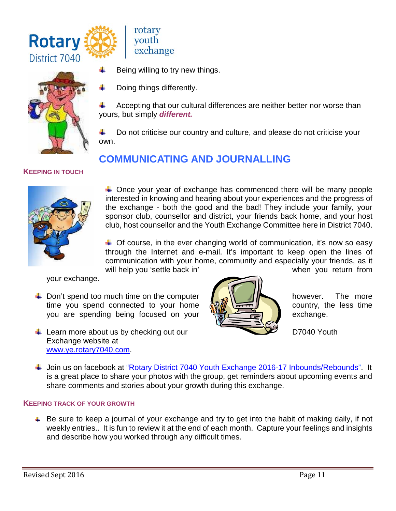

### rotary youth exchange

- Being willing to try new things.
- Doing things differently.

Accepting that our cultural differences are neither better nor worse than yours, but simply *different.*

Do not criticise our country and culture, and please do not criticise your own.

### **COMMUNICATING AND JOURNALLING**



**KEEPING IN TOUCH**

↓ Once your year of exchange has commenced there will be many people interested in knowing and hearing about your experiences and the progress of the exchange - both the good and the bad! They include your family, your sponsor club, counsellor and district, your friends back home, and your host club, host counsellor and the Youth Exchange Committee here in District 7040.

 $\downarrow$  Of course, in the ever changing world of communication, it's now so easy through the Internet and e-mail. It's important to keep open the lines of communication with your home, community and especially your friends, as it will help you 'settle back in' vou return from will help you 'settle back in'

your exchange.

- $\Box$  Don't spend too much time on the computer  $\Box$ time you spend connected to your home  $\frac{1}{2}$   $\frac{1}{2}$  Country, the less time you are spending being focused on your  $\sqrt[n]{x}$
- Learn more about us by checking out our D7040 Youth Exchange website at [www.ye.rotary7040.com.](http://www.ye.rotary7040.com/)



↓ Join us on facebook at "Rotary District 7040 Youth Exchange 2016-17 Inbounds/Rebounds". It is a great place to share your photos with the group, get reminders about upcoming events and share comments and stories about your growth during this exchange.

### **KEEPING TRACK OF YOUR GROWTH**

 $\pm$  Be sure to keep a journal of your exchange and try to get into the habit of making daily, if not weekly entries.. It is fun to review it at the end of each month. Capture your feelings and insights and describe how you worked through any difficult times.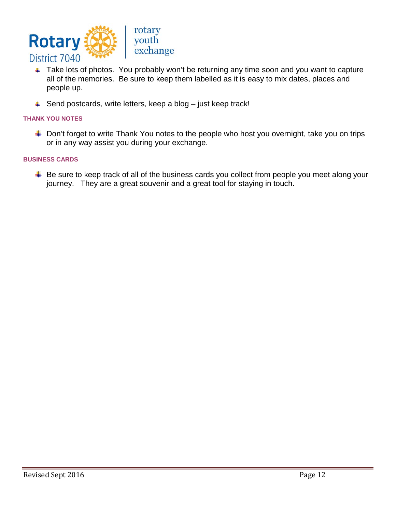

- **Take lots of photos. You probably won't be returning any time soon and you want to capture** all of the memories. Be sure to keep them labelled as it is easy to mix dates, places and people up.
- Send postcards, write letters, keep a blog just keep track!

#### **THANK YOU NOTES**

 $\ddot{\phantom{1}}$  Don't forget to write Thank You notes to the people who host you overnight, take you on trips or in any way assist you during your exchange.

#### **BUSINESS CARDS**

 $\overline{\phantom{a}}$  Be sure to keep track of all of the business cards you collect from people you meet along your journey. They are a great souvenir and a great tool for staying in touch.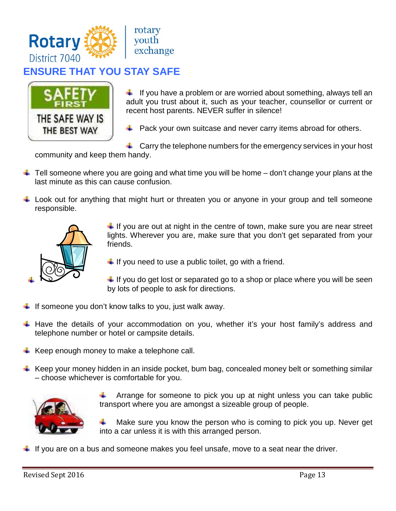

### **ENSURE THAT YOU STAY SAFE**



 $\downarrow$  If you have a problem or are worried about something, always tell an adult you trust about it, such as your teacher, counsellor or current or recent host parents. NEVER suffer in silence!

 $\downarrow$  Pack your own suitcase and never carry items abroad for others.

 $\downarrow$  Carry the telephone numbers for the emergency services in your host community and keep them handy.

- $\ddot{\phantom{1}}$  Tell someone where you are going and what time you will be home don't change your plans at the last minute as this can cause confusion.
- $\ddot{\phantom{1}}$  Look out for anything that might hurt or threaten you or anyone in your group and tell someone responsible.



 $\ddot$  If you are out at night in the centre of town, make sure you are near street lights. Wherever you are, make sure that you don't get separated from your friends.

 $\downarrow$  If you need to use a public toilet, go with a friend.

 $\ddot{+}$  If you do get lost or separated go to a shop or place where you will be seen by lots of people to ask for directions.

- $\downarrow$  If someone you don't know talks to you, just walk away.
- $\ddot$  Have the details of your accommodation on you, whether it's your host family's address and telephone number or hotel or campsite details.
- $\overline{\phantom{a}}$  Keep enough money to make a telephone call.
- $\ddot{\phantom{1}}$  Keep your money hidden in an inside pocket, bum bag, concealed money belt or something similar – choose whichever is comfortable for you.



Arrange for someone to pick you up at night unless you can take public transport where you are amongst a sizeable group of people.

Make sure you know the person who is coming to pick you up. Never get into a car unless it is with this arranged person.

 $\downarrow$  If you are on a bus and someone makes you feel unsafe, move to a seat near the driver.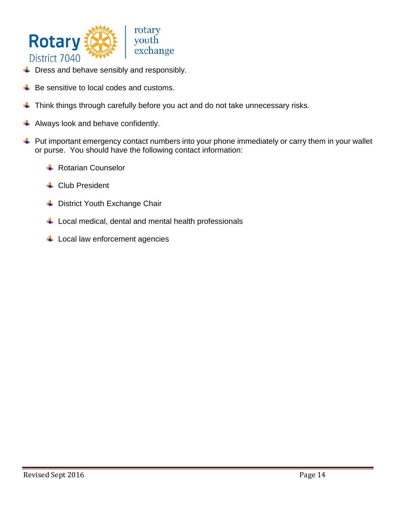

- **Dress and behave sensibly and responsibly.**
- $\overline{\phantom{a}}$  Be sensitive to local codes and customs.
- ↓ Think things through carefully before you act and do not take unnecessary risks.
- Always look and behave confidently.
- $\ddot{\phantom{1}}$  Put important emergency contact numbers into your phone immediately or carry them in your wallet or purse. You should have the following contact information:
	- **E** Rotarian Counselor
	- Club President
	- **↓** District Youth Exchange Chair
	- $\downarrow$  Local medical, dental and mental health professionals
	- Local law enforcement agencies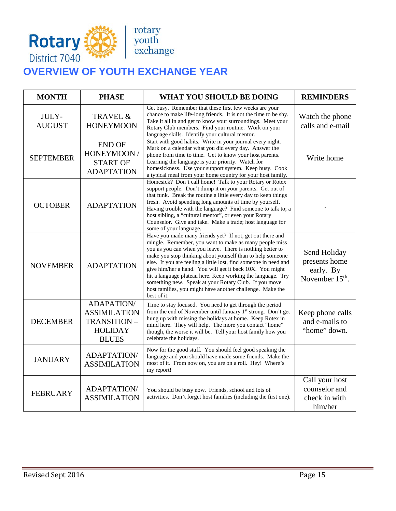

**OVERVIEW OF YOUTH EXCHANGE YEAR**

| <b>MONTH</b>           | <b>PHASE</b>                                                                               | WHAT YOU SHOULD BE DOING                                                                                                                                                                                                                                                                                                                                                                                                                                                                                                                                                           | <b>REMINDERS</b>                                                |
|------------------------|--------------------------------------------------------------------------------------------|------------------------------------------------------------------------------------------------------------------------------------------------------------------------------------------------------------------------------------------------------------------------------------------------------------------------------------------------------------------------------------------------------------------------------------------------------------------------------------------------------------------------------------------------------------------------------------|-----------------------------------------------------------------|
| JULY-<br><b>AUGUST</b> | TRAVEL &<br><b>HONEYMOON</b>                                                               | Get busy. Remember that these first few weeks are your<br>chance to make life-long friends. It is not the time to be shy.<br>Take it all in and get to know your surroundings. Meet your<br>Rotary Club members. Find your routine. Work on your<br>language skills. Identify your cultural mentor.                                                                                                                                                                                                                                                                                | Watch the phone<br>calls and e-mail                             |
| <b>SEPTEMBER</b>       | <b>END OF</b><br>HONEYMOON /<br><b>START OF</b><br><b>ADAPTATION</b>                       | Start with good habits. Write in your journal every night.<br>Mark on a calendar what you did every day. Answer the<br>phone from time to time. Get to know your host parents.<br>Learning the language is your priority. Watch for<br>homesickness. Use your support system. Keep busy. Cook<br>a typical meal from your home country for your host family.                                                                                                                                                                                                                       | Write home                                                      |
| <b>OCTOBER</b>         | <b>ADAPTATION</b>                                                                          | Homesick? Don't call home! Talk to your Rotary or Rotex<br>support people. Don't dump it on your parents. Get out of<br>that funk. Break the routine a little every day to keep things<br>fresh. Avoid spending long amounts of time by yourself.<br>Having trouble with the language? Find someone to talk to; a<br>host sibling, a "cultural mentor", or even your Rotary<br>Counselor. Give and take. Make a trade; host language for<br>some of your language.                                                                                                                 |                                                                 |
| <b>NOVEMBER</b>        | <b>ADAPTATION</b>                                                                          | Have you made many friends yet? If not, get out there and<br>mingle. Remember, you want to make as many people miss<br>you as you can when you leave. There is nothing better to<br>make you stop thinking about yourself than to help someone<br>else. If you are feeling a little lost, find someone in need and<br>give him/her a hand. You will get it back 10X. You might<br>hit a language plateau here. Keep working the language. Try<br>something new. Speak at your Rotary Club. If you move<br>host families, you might have another challenge. Make the<br>best of it. | Send Holiday<br>presents home<br>early. By<br>November $15th$ . |
| <b>DECEMBER</b>        | <b>ADAPATION/</b><br><b>ASSIMILATION</b><br>TRANSITION -<br><b>HOLIDAY</b><br><b>BLUES</b> | Time to stay focused. You need to get through the period<br>from the end of November until January 1st strong. Don't get<br>hung up with missing the holidays at home. Keep Rotex in<br>mind here. They will help. The more you contact "home"<br>though, the worse it will be. Tell your host family how you<br>celebrate the holidays.                                                                                                                                                                                                                                           | Keep phone calls<br>and e-mails to<br>"home" down.              |
| <b>JANUARY</b>         | <b>ADAPTATION/</b><br><b>ASSIMILATION</b>                                                  | Now for the good stuff. You should feel good speaking the<br>language and you should have made some friends. Make the<br>most of it. From now on, you are on a roll. Hey! Where's<br>my report!                                                                                                                                                                                                                                                                                                                                                                                    |                                                                 |
| <b>FEBRUARY</b>        | <b>ADAPTATION/</b><br><b>ASSIMILATION</b>                                                  | You should be busy now. Friends, school and lots of<br>activities. Don't forget host families (including the first one).                                                                                                                                                                                                                                                                                                                                                                                                                                                           | Call your host<br>counselor and<br>check in with<br>him/her     |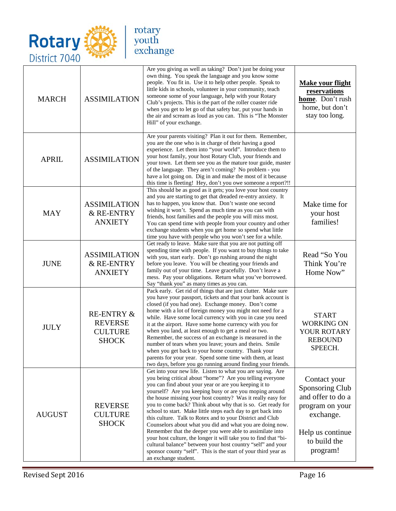

| <b>MARCH</b>  | <b>ASSIMILATION</b>                                                       | Are you giving as well as taking? Don't just be doing your<br>own thing. You speak the language and you know some<br>people. You fit in. Use it to help other people. Speak to<br>little kids in schools, volunteer in your community, teach<br>someone some of your language, help with your Rotary<br>Club's projects. This is the part of the roller coaster ride<br>when you get to let go of that safety bar, put your hands in<br>the air and scream as loud as you can. This is "The Monster<br>Hill" of your exchange.                                                                                                                                                                                                                                                                                                                                | <b>Make your flight</b><br>reservations<br>home. Don't rush<br>home, but don't<br>stay too long.                                     |
|---------------|---------------------------------------------------------------------------|---------------------------------------------------------------------------------------------------------------------------------------------------------------------------------------------------------------------------------------------------------------------------------------------------------------------------------------------------------------------------------------------------------------------------------------------------------------------------------------------------------------------------------------------------------------------------------------------------------------------------------------------------------------------------------------------------------------------------------------------------------------------------------------------------------------------------------------------------------------|--------------------------------------------------------------------------------------------------------------------------------------|
| <b>APRIL</b>  | <b>ASSIMILATION</b>                                                       | Are your parents visiting? Plan it out for them. Remember,<br>you are the one who is in charge of their having a good<br>experience. Let them into "your world". Introduce them to<br>your host family, your host Rotary Club, your friends and<br>your town. Let them see you as the mature tour guide, master<br>of the language. They aren't coming? No problem - you<br>have a lot going on. Dig in and make the most of it because<br>this time is fleeting! Hey, don't you owe someone a report?!!                                                                                                                                                                                                                                                                                                                                                      |                                                                                                                                      |
| <b>MAY</b>    | <b>ASSIMILATION</b><br>& RE-ENTRY<br><b>ANXIETY</b>                       | This should be as good as it gets; you love your host country<br>and you are starting to get that dreaded re-entry anxiety. It<br>has to happen, you know that. Don't waste one second<br>wishing it won't. Spend as much time as you can with<br>friends, host families and the people you will miss most.<br>You can spend time with people from your country and other<br>exchange students when you get home so spend what little<br>time you have with people who you won't see for a while.                                                                                                                                                                                                                                                                                                                                                             | Make time for<br>your host<br>families!                                                                                              |
| <b>JUNE</b>   | <b>ASSIMILATION</b><br>& RE-ENTRY<br><b>ANXIETY</b>                       | Get ready to leave. Make sure that you are not putting off<br>spending time with people. If you want to buy things to take<br>with you, start early. Don't go rushing around the night<br>before you leave. You will be cheating your friends and<br>family out of your time. Leave gracefully. Don't leave a<br>mess. Pay your obligations. Return what you've borrowed.<br>Say "thank you" as many times as you can.                                                                                                                                                                                                                                                                                                                                                                                                                                        | Read "So You<br>Think You're<br>Home Now"                                                                                            |
| <b>JULY</b>   | <b>RE-ENTRY &amp;</b><br><b>REVERSE</b><br><b>CULTURE</b><br><b>SHOCK</b> | Pack early. Get rid of things that are just clutter. Make sure<br>you have your passport, tickets and that your bank account is<br>closed (if you had one). Exchange money. Don't come<br>home with a lot of foreign money you might not need for a<br>while. Have some local currency with you in case you need<br>it at the airport. Have some home currency with you for<br>when you land, at least enough to get a meal or two.<br>Remember, the success of an exchange is measured in the<br>number of tears when you leave; yours and theirs. Smile<br>when you get back to your home country. Thank your<br>parents for your year. Spend some time with them, at least<br>two days, before you go running around finding your friends.                                                                                                                 | <b>START</b><br><b>WORKING ON</b><br>YOUR ROTARY<br><b>REBOUND</b><br>SPEECH.                                                        |
| <b>AUGUST</b> | <b>REVERSE</b><br><b>CULTURE</b><br><b>SHOCK</b>                          | Get into your new life. Listen to what you are saying. Are<br>you being critical about "home"? Are you telling everyone<br>you can find about your year or are you keeping it to<br>yourself? Are you keeping busy or are you moping around<br>the house missing your host country? Was it really easy for<br>you to come back? Think about why that is so. Get ready for<br>school to start. Make little steps each day to get back into<br>this culture. Talk to Rotex and to your District and Club<br>Counselors about what you did and what you are doing now.<br>Remember that the deeper you were able to assimilate into<br>your host culture, the longer it will take you to find that "bi-<br>cultural balance" between your host country "self" and your<br>sponsor county "self". This is the start of your third year as<br>an exchange student. | Contact your<br>Sponsoring Club<br>and offer to do a<br>program on your<br>exchange.<br>Help us continue<br>to build the<br>program! |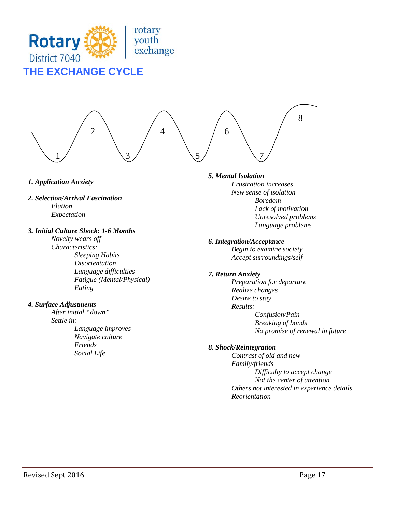

#### 1  $\mathcal{L}$ 3 4 5 6 7 8

#### *1. Application Anxiety*

#### *2. Selection/Arrival Fascination Elation Expectation*

#### *3. Initial Culture Shock: 1-6 Months*

*Novelty wears off Characteristics: Sleeping Habits Disorientation Language difficulties Fatigue (Mental/Physical) Eating*

#### *4. Surface Adjustments*

*After initial "down" Settle in: Language improves Navigate culture Friends Social Life*

*5. Mental Isolation Frustration increases New sense of isolation Boredom Lack of motivation Unresolved problems Language problems*

#### *6. Integration/Acceptance*

*Begin to examine society Accept surroundings/self*

#### *7. Return Anxiety*

*Preparation for departure Realize changes Desire to stay Results: Confusion/Pain Breaking of bonds No promise of renewal in future*

#### *8. Shock/Reintegration*

*Contrast of old and new Family/friends Difficulty to accept change Not the center of attention Others not interested in experience details Reorientation*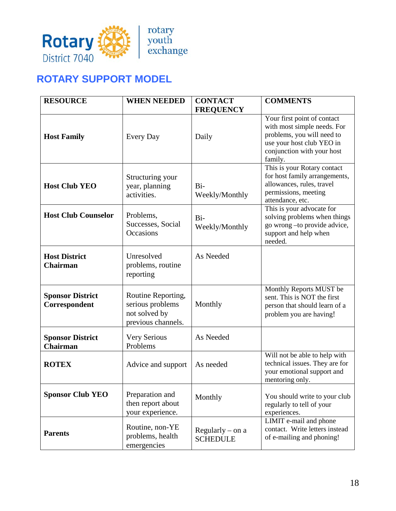

### **ROTARY SUPPORT MODEL**

| <b>RESOURCE</b>                          | <b>WHEN NEEDED</b>                                                            | <b>CONTACT</b>                        | <b>COMMENTS</b>                                                                                                                                                |
|------------------------------------------|-------------------------------------------------------------------------------|---------------------------------------|----------------------------------------------------------------------------------------------------------------------------------------------------------------|
|                                          |                                                                               | <b>FREQUENCY</b>                      |                                                                                                                                                                |
| <b>Host Family</b>                       | <b>Every Day</b>                                                              | Daily                                 | Your first point of contact<br>with most simple needs. For<br>problems, you will need to<br>use your host club YEO in<br>conjunction with your host<br>family. |
| <b>Host Club YEO</b>                     | Structuring your<br>year, planning<br>activities.                             | Bi-<br>Weekly/Monthly                 | This is your Rotary contact<br>for host family arrangements,<br>allowances, rules, travel<br>permissions, meeting<br>attendance, etc.                          |
| <b>Host Club Counselor</b>               | Problems,<br>Successes, Social<br>Occasions                                   | Bi-<br>Weekly/Monthly                 | This is your advocate for<br>solving problems when things<br>go wrong -to provide advice,<br>support and help when<br>needed.                                  |
| <b>Host District</b><br>Chairman         | Unresolved<br>problems, routine<br>reporting                                  | As Needed                             |                                                                                                                                                                |
| <b>Sponsor District</b><br>Correspondent | Routine Reporting,<br>serious problems<br>not solved by<br>previous channels. | Monthly                               | Monthly Reports MUST be<br>sent. This is NOT the first<br>person that should learn of a<br>problem you are having!                                             |
| <b>Sponsor District</b><br>Chairman      | <b>Very Serious</b><br>Problems                                               | As Needed                             |                                                                                                                                                                |
| <b>ROTEX</b>                             | Advice and support                                                            | As needed                             | Will not be able to help with<br>technical issues. They are for<br>your emotional support and<br>mentoring only.                                               |
| <b>Sponsor Club YEO</b>                  | Preparation and<br>then report about<br>your experience.                      | Monthly                               | You should write to your club<br>regularly to tell of your<br>experiences.                                                                                     |
| <b>Parents</b>                           | Routine, non-YE<br>problems, health<br>emergencies                            | Regularly $-$ on a<br><b>SCHEDULE</b> | LIMIT e-mail and phone<br>contact. Write letters instead<br>of e-mailing and phoning!                                                                          |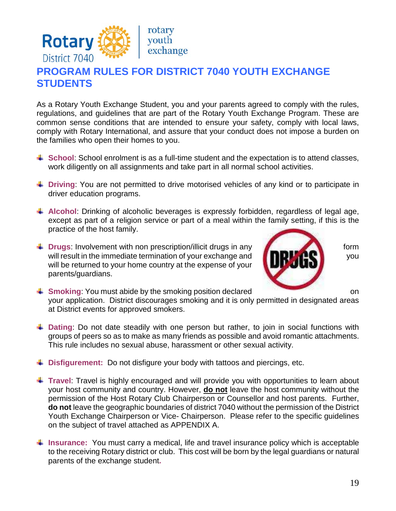

### **PROGRAM RULES FOR DISTRICT 7040 YOUTH EXCHANGE STUDENTS**

As a Rotary Youth Exchange Student, you and your parents agreed to comply with the rules, regulations, and guidelines that are part of the Rotary Youth Exchange Program. These are common sense conditions that are intended to ensure your safety, comply with local laws, comply with Rotary International, and assure that your conduct does not impose a burden on the families who open their homes to you.

- **School:** School enrolment is as a full-time student and the expectation is to attend classes, work diligently on all assignments and take part in all normal school activities.
- **EXTED 10 Triving:** You are not permitted to drive motorised vehicles of any kind or to participate in driver education programs.
- **Alcohol**: Drinking of alcoholic beverages is expressly forbidden, regardless of legal age, except as part of a religion service or part of a meal within the family setting, if this is the practice of the host family.
- **EXECUTE:** Drugs: Involvement with non prescription/illicit drugs in any **the state of the state of the state of the state of the state of the state of the state of the state of the state of the state of the state of the s** will result in the immediate termination of your exchange and  $\blacksquare$ will be returned to your home country at the expense of your parents/guardians.



- **Smoking:** You must abide by the smoking position declared on your application. District discourages smoking and it is only permitted in designated areas at District events for approved smokers.
- **Dating:** Do not date steadily with one person but rather, to join in social functions with groups of peers so as to make as many friends as possible and avoid romantic attachments. This rule includes no sexual abuse, harassment or other sexual activity.
- **EXTERNIFFERIM** Disfigure in the Muslim of Disfigure your body with tattoos and piercings, etc.
- **Travel:** Travel is highly encouraged and will provide you with opportunities to learn about your host community and country. However, **do not** leave the host community without the permission of the Host Rotary Club Chairperson or Counsellor and host parents. Further, **do not** leave the geographic boundaries of district 7040 without the permission of the District Youth Exchange Chairperson or Vice- Chairperson. Please refer to the specific guidelines on the subject of travel attached as APPENDIX A.
- **If Insurance:** You must carry a medical, life and travel insurance policy which is acceptable to the receiving Rotary district or club. This cost will be born by the legal guardians or natural parents of the exchange student**.**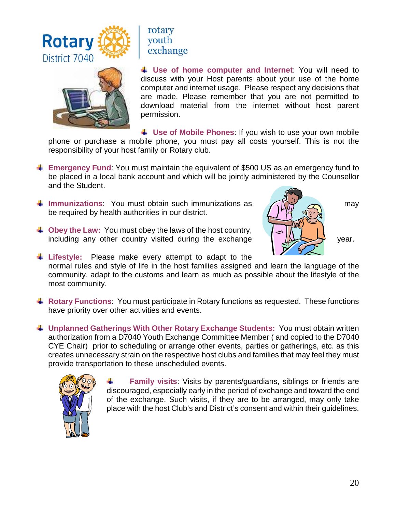



rotary youth exchange

**Use of home computer and Internet**: You will need to discuss with your Host parents about your use of the home computer and internet usage. Please respect any decisions that are made. Please remember that you are not permitted to download material from the internet without host parent permission.

**Use of Mobile Phones**: If you wish to use your own mobile phone or purchase a mobile phone, you must pay all costs yourself. This is not the responsibility of your host family or Rotary club.

- **Emergency Fund:** You must maintain the equivalent of \$500 US as an emergency fund to be placed in a local bank account and which will be jointly administered by the Counsellor and the Student.
- **Immunizations**: You must obtain such immunizations as **All Strange and may** may be required by health authorities in our district.

**4 Obey the Law:** You must obey the laws of the host country,

including any other country visited during the exchange  $\bigcup_{k=1}^{\infty}$  year.

- 
- **Lifestyle:** Please make every attempt to adapt to the normal rules and style of life in the host families assigned and learn the language of the community, adapt to the customs and learn as much as possible about the lifestyle of the most community.
- **Rotary Functions**: You must participate in Rotary functions as requested. These functions have priority over other activities and events.

**Unplanned Gatherings With Other Rotary Exchange Students:** You must obtain written authorization from a D7040 Youth Exchange Committee Member ( and copied to the D7040 CYE Chair) prior to scheduling or arrange other events, parties or gatherings, etc. as this creates unnecessary strain on the respective host clubs and families that may feel they must provide transportation to these unscheduled events.



÷ **Family visits**: Visits by parents/guardians, siblings or friends are discouraged, especially early in the period of exchange and toward the end of the exchange. Such visits, if they are to be arranged, may only take place with the host Club's and District's consent and within their guidelines.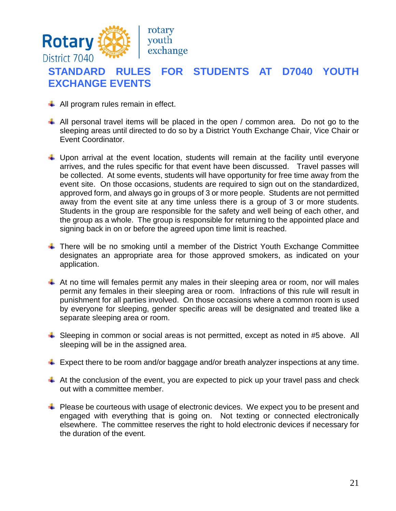

### **STANDARD RULES FOR STUDENTS AT D7040 YOUTH EXCHANGE EVENTS**

- $\leftarrow$  All program rules remain in effect.
- $\downarrow$  All personal travel items will be placed in the open / common area. Do not go to the sleeping areas until directed to do so by a District Youth Exchange Chair, Vice Chair or Event Coordinator.
- $\downarrow$  Upon arrival at the event location, students will remain at the facility until everyone arrives, and the rules specific for that event have been discussed. Travel passes will be collected. At some events, students will have opportunity for free time away from the event site. On those occasions, students are required to sign out on the standardized, approved form, and always go in groups of 3 or more people. Students are not permitted away from the event site at any time unless there is a group of 3 or more students. Students in the group are responsible for the safety and well being of each other, and the group as a whole. The group is responsible for returning to the appointed place and signing back in on or before the agreed upon time limit is reached.
- $\ddot$  There will be no smoking until a member of the District Youth Exchange Committee designates an appropriate area for those approved smokers, as indicated on your application.
- $\uparrow$  At no time will females permit any males in their sleeping area or room, nor will males permit any females in their sleeping area or room. Infractions of this rule will result in punishment for all parties involved. On those occasions where a common room is used by everyone for sleeping, gender specific areas will be designated and treated like a separate sleeping area or room.
- Sleeping in common or social areas is not permitted, except as noted in #5 above. All sleeping will be in the assigned area.
- $\pm$  Expect there to be room and/or baggage and/or breath analyzer inspections at any time.
- $\ddot{+}$  At the conclusion of the event, you are expected to pick up your travel pass and check out with a committee member.
- $\downarrow$  Please be courteous with usage of electronic devices. We expect you to be present and engaged with everything that is going on. Not texting or connected electronically elsewhere. The committee reserves the right to hold electronic devices if necessary for the duration of the event.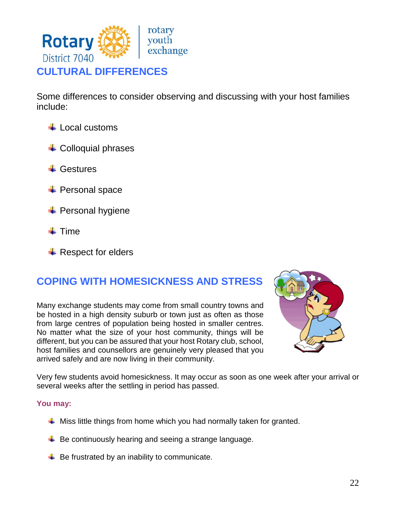

Some differences to consider observing and discussing with your host families include:

- $\pm$  Local customs
- **↓ Colloquial phrases**
- **←** Gestures
- **E** Personal space
- $\leftarrow$  Personal hygiene
- $\blacksquare$  Time
- $\overline{\phantom{a}}$  Respect for elders

### **COPING WITH HOMESICKNESS AND STRESS**

Many exchange students may come from small country towns and be hosted in a high density suburb or town just as often as those from large centres of population being hosted in smaller centres. No matter what the size of your host community, things will be different, but you can be assured that your host Rotary club, school, host families and counsellors are genuinely very pleased that you arrived safely and are now living in their community.



Very few students avoid homesickness. It may occur as soon as one week after your arrival or several weeks after the settling in period has passed.

#### **You may:**

- $\ddot{+}$  Miss little things from home which you had normally taken for granted.
- $\overline{\phantom{a}}$  Be continuously hearing and seeing a strange language.
- $\overline{\phantom{a}}$  Be frustrated by an inability to communicate.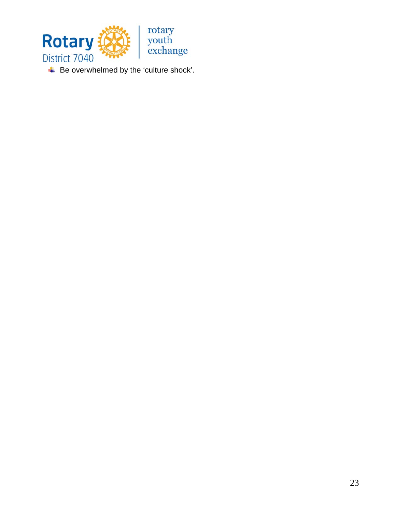

**↓** Be overwhelmed by the 'culture shock'.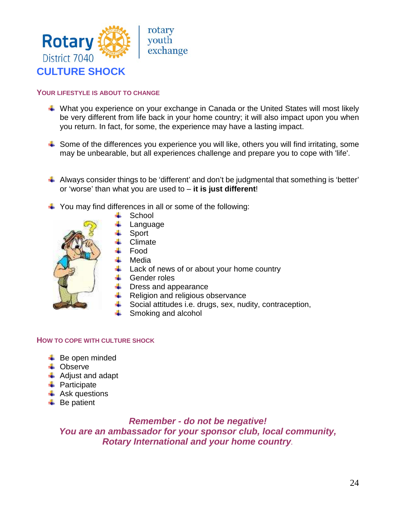

#### **YOUR LIFESTYLE IS ABOUT TO CHANGE**

- What you experience on your exchange in Canada or the United States will most likely be very different from life back in your home country; it will also impact upon you when you return. In fact, for some, the experience may have a lasting impact.
- $\ddot{\bullet}$  Some of the differences you experience you will like, others you will find irritating, some may be unbearable, but all experiences challenge and prepare you to cope with 'life'.
- $\downarrow$  Always consider things to be 'different' and don't be judgmental that something is 'better' or 'worse' than what you are used to – **it is just different**!
- $\div$  You may find differences in all or some of the following:



- **School**
- Language
- Sport
- Climate
- Food
- Media
- Lack of news of or about your home country
- Gender roles
- Dress and appearance
- Religion and religious observance
- Social attitudes i.e. drugs, sex, nudity, contraception,
- Smoking and alcohol

#### **HOW TO COPE WITH CULTURE SHOCK**

- $\leftarrow$  Be open minded
- **↓** Observe
- $\triangleq$  Adjust and adapt
- **←** Participate
- $\overline{\phantom{a}}$  Ask questions
- $\overline{\phantom{a}}$  Be patient

*Remember - do not be negative! You are an ambassador for your sponsor club, local community, Rotary International and your home country.*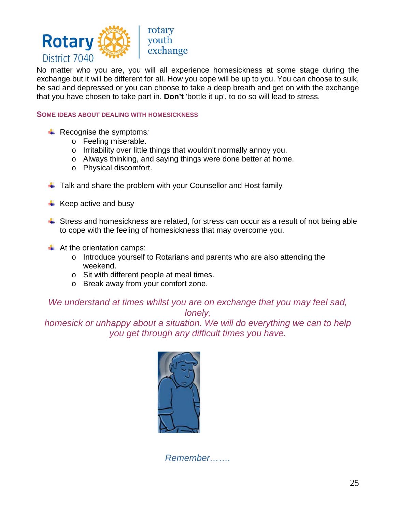

No matter who you are, you will all experience homesickness at some stage during the exchange but it will be different for all. How you cope will be up to you. You can choose to sulk, be sad and depressed or you can choose to take a deep breath and get on with the exchange that you have chosen to take part in. **Don't** 'bottle it up', to do so will lead to stress.

#### **SOME IDEAS ABOUT DEALING WITH HOMESICKNESS**

- Recognise the symptoms:
	- o Feeling miserable.
	- o Irritability over little things that wouldn't normally annoy you.
	- o Always thinking, and saying things were done better at home.
	- o Physical discomfort.
- $\ddot{\phantom{1}}$  Talk and share the problem with your Counsellor and Host family
- $\overline{\phantom{a}}$  Keep active and busy
- $\overline{\phantom{a}}$  Stress and homesickness are related, for stress can occur as a result of not being able to cope with the feeling of homesickness that may overcome you.
- $\leftarrow$  At the orientation camps:
	- o Introduce yourself to Rotarians and parents who are also attending the weekend.
	- o Sit with different people at meal times.
	- o Break away from your comfort zone.

*We understand at times whilst you are on exchange that you may feel sad, lonely,*

*homesick or unhappy about a situation. We will do everything we can to help you get through any difficult times you have.*



*Remember…….*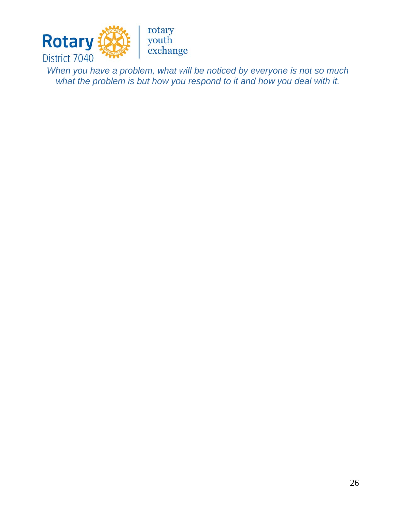

*When you have a problem, what will be noticed by everyone is not so much what the problem is but how you respond to it and how you deal with it.*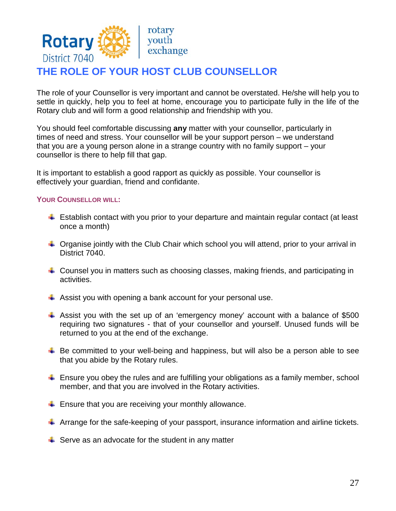

### **THE ROLE OF YOUR HOST CLUB COUNSELLOR**

The role of your Counsellor is very important and cannot be overstated. He/she will help you to settle in quickly, help you to feel at home, encourage you to participate fully in the life of the Rotary club and will form a good relationship and friendship with you.

You should feel comfortable discussing **any** matter with your counsellor, particularly in times of need and stress. Your counsellor will be your support person – we understand that you are a young person alone in a strange country with no family support – your counsellor is there to help fill that gap.

It is important to establish a good rapport as quickly as possible. Your counsellor is effectively your guardian, friend and confidante.

#### **YOUR COUNSELLOR WILL:**

- $\ddot{\phantom{1}}$  Establish contact with you prior to your departure and maintain regular contact (at least once a month)
- $\downarrow$  Organise jointly with the Club Chair which school you will attend, prior to your arrival in District 7040.
- $\triangleq$  Counsel you in matters such as choosing classes, making friends, and participating in activities.
- $\ddot{+}$  Assist you with opening a bank account for your personal use.
- Assist you with the set up of an 'emergency money' account with a balance of \$500 requiring two signatures - that of your counsellor and yourself. Unused funds will be returned to you at the end of the exchange.
- $\overline{\phantom{a}}$  Be committed to your well-being and happiness, but will also be a person able to see that you abide by the Rotary rules.
- $\ddot{\phantom{1}}$  Ensure you obey the rules and are fulfilling your obligations as a family member, school member, and that you are involved in the Rotary activities.
- $\ddot{\phantom{1}}$  Ensure that you are receiving your monthly allowance.
- $\ddot{+}$  Arrange for the safe-keeping of your passport, insurance information and airline tickets.
- $\triangleq$  Serve as an advocate for the student in any matter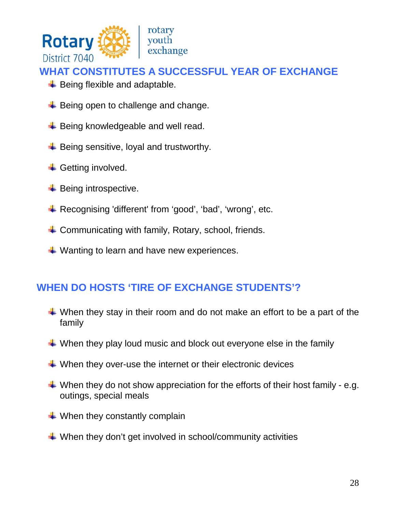

### **WHAT CONSTITUTES A SUCCESSFUL YEAR OF EXCHANGE**

- $\bigstar$  Being flexible and adaptable.
- $\overline{\phantom{a}}$  Being open to challenge and change.
- $\triangleq$  Being knowledgeable and well read.
- $\triangleq$  Being sensitive, loyal and trustworthy.
- $\overline{\phantom{a}}$  Getting involved.
- $\overline{\phantom{a}}$  Being introspective.
- Recognising 'different' from 'good', 'bad', 'wrong', etc.
- **↓ Communicating with family, Rotary, school, friends.**
- $\triangleq$  Wanting to learn and have new experiences.

### **WHEN DO HOSTS 'TIRE OF EXCHANGE STUDENTS'?**

- When they stay in their room and do not make an effort to be a part of the family
- $\triangleq$  When they play loud music and block out everyone else in the family
- $\triangleq$  When they over-use the internet or their electronic devices
- When they do not show appreciation for the efforts of their host family e.g. outings, special meals
- $\ddot{\bullet}$  When they constantly complain
- $\triangleq$  When they don't get involved in school/community activities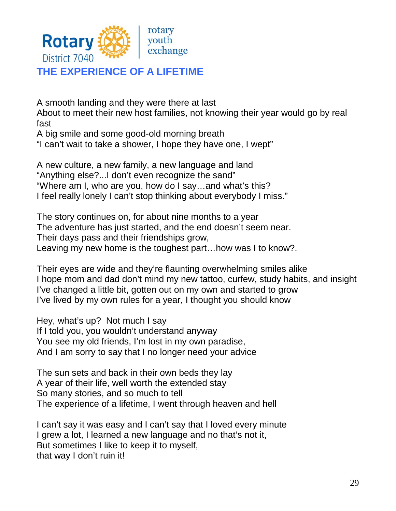

A smooth landing and they were there at last About to meet their new host families, not knowing their year would go by real fast

A big smile and some good-old morning breath "I can't wait to take a shower, I hope they have one, I wept"

A new culture, a new family, a new language and land "Anything else?...I don't even recognize the sand" "Where am I, who are you, how do I say…and what's this? I feel really lonely I can't stop thinking about everybody I miss."

The story continues on, for about nine months to a year The adventure has just started, and the end doesn't seem near. Their days pass and their friendships grow, Leaving my new home is the toughest part…how was I to know?.

Their eyes are wide and they're flaunting overwhelming smiles alike I hope mom and dad don't mind my new tattoo, curfew, study habits, and insight I've changed a little bit, gotten out on my own and started to grow I've lived by my own rules for a year, I thought you should know

Hey, what's up? Not much I say If I told you, you wouldn't understand anyway You see my old friends, I'm lost in my own paradise, And I am sorry to say that I no longer need your advice

The sun sets and back in their own beds they lay A year of their life, well worth the extended stay So many stories, and so much to tell The experience of a lifetime, I went through heaven and hell

I can't say it was easy and I can't say that I loved every minute I grew a lot, I learned a new language and no that's not it, But sometimes I like to keep it to myself, that way I don't ruin it!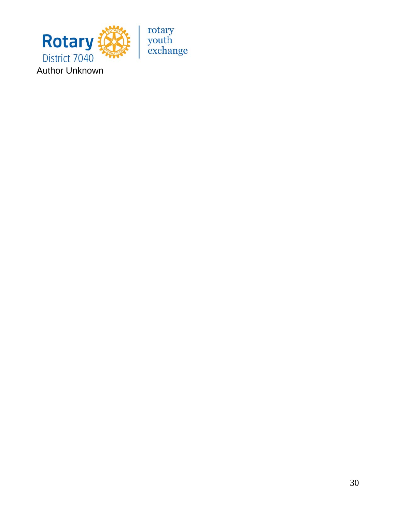